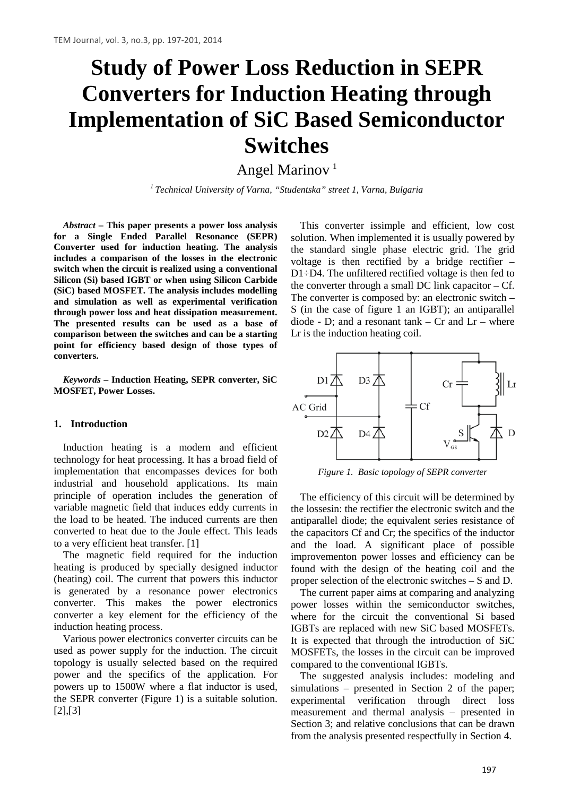# **Study of Power Loss Reduction in SEPR Converters for Induction Heating through Implementation of SiC Based Semiconductor Switches**

Angel Marinov<sup>1</sup>

*<sup>1</sup> Technical University of Varna, "Studentska" street 1, Varna, Bulgaria*

*Abstract –* **This paper presents a power loss analysis for a Single Ended Parallel Resonance (SEPR) Converter used for induction heating. The analysis includes a comparison of the losses in the electronic switch when the circuit is realized using a conventional Silicon (Si) based IGBT or when using Silicon Carbide (SiC) based MOSFET. The analysis includes modelling and simulation as well as experimental verification through power loss and heat dissipation measurement. The presented results can be used as a base of comparison between the switches and can be a starting point for efficiency based design of those types of converters.**

*Keywords –* **Induction Heating, SEPR converter, SiC MOSFET, Power Losses.**

#### **1. Introduction**

Induction heating is a modern and efficient technology for heat processing. It has a broad field of implementation that encompasses devices for both industrial and household applications. Its main principle of operation includes the generation of variable magnetic field that induces eddy currents in the load to be heated. The induced currents are then converted to heat due to the Joule effect. This leads to a very efficient heat transfer. [1]

The magnetic field required for the induction heating is produced by specially designed inductor (heating) coil. The current that powers this inductor is generated by a resonance power electronics converter. This makes the power electronics converter a key element for the efficiency of the induction heating process.

Various power electronics converter circuits can be used as power supply for the induction. The circuit topology is usually selected based on the required power and the specifics of the application. For powers up to 1500W where a flat inductor is used, the SEPR converter (Figure 1) is a suitable solution. [2],[3]

This converter issimple and efficient, low cost solution. When implemented it is usually powered by the standard single phase electric grid. The grid voltage is then rectified by a bridge rectifier – D1÷D4. The unfiltered rectified voltage is then fed to the converter through a small DC link capacitor  $- Cf$ . The converter is composed by: an electronic switch – S (in the case of figure 1 an IGBT); an antiparallel diode - D; and a resonant tank  $-$  Cr and Lr  $-$  where Lr is the induction heating coil.



*Figure 1. Basic topology of SEPR converter*

The efficiency of this circuit will be determined by the lossesin: the rectifier the electronic switch and the antiparallel diode; the equivalent series resistance of the capacitors Cf and Cr; the specifics of the inductor and the load. A significant place of possible improvementon power losses and efficiency can be found with the design of the heating coil and the proper selection of the electronic switches – S and D.

The current paper aims at comparing and analyzing power losses within the semiconductor switches, where for the circuit the conventional Si based IGBTs are replaced with new SiC based MOSFETs. It is expected that through the introduction of SiC MOSFETs, the losses in the circuit can be improved compared to the conventional IGBTs.

The suggested analysis includes: modeling and simulations – presented in Section 2 of the paper; experimental verification through direct loss measurement and thermal analysis – presented in Section 3; and relative conclusions that can be drawn from the analysis presented respectfully in Section 4.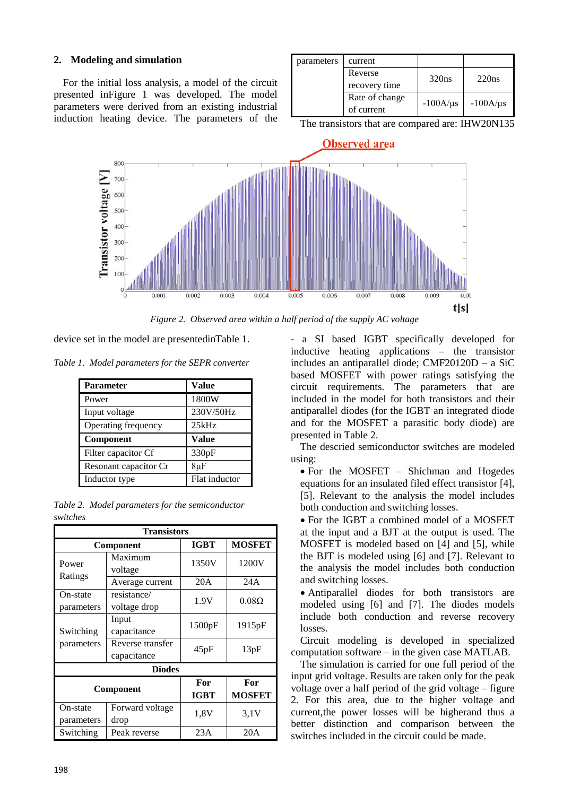# **2. Modeling and simulation**

For the initial loss analysis, a model of the circuit presented inFigure 1 was developed. The model parameters were derived from an existing industrial induction heating device. The parameters of the

| parameters | current              |               |               |
|------------|----------------------|---------------|---------------|
|            | Reverse              | 320ns         | 220ns         |
|            | recovery time        |               |               |
|            | Rate of change       | $-100A/\mu s$ | $-100A/\mu s$ |
|            | of current           |               |               |
| $\sim$     | $\sim$ $\sim$ $\sim$ |               |               |

The transistors that are compared are: IHW20N135



*Figure 2. Observed area within a half period of the supply AC voltage*

device set in the model are presentedinTable 1.

*Table 1. Model parameters for the SEPR converter*

| <b>Parameter</b>      | Value         |
|-----------------------|---------------|
| Power                 | 1800W         |
| Input voltage         | 230V/50Hz     |
| Operating frequency   | 25kHz         |
| Component             | Value         |
| Filter capacitor Cf   | 330pF         |
| Resonant capacitor Cr | $8\mu$ F      |
| Inductor type         | Flat inductor |

|          | Table 2. Model parameters for the semiconductor |  |
|----------|-------------------------------------------------|--|
| switches |                                                 |  |

| <b>Transistors</b> |                  |             |               |  |
|--------------------|------------------|-------------|---------------|--|
|                    | Component        | <b>IGBT</b> | <b>MOSFET</b> |  |
| Power              | Maximum          | 1350V       | 1200V         |  |
| Ratings            | voltage          |             |               |  |
|                    | Average current  | 20A         | 24A           |  |
| On-state           | resistance/      | 1.9V        | $0.08\Omega$  |  |
| parameters         | voltage drop     |             |               |  |
|                    | Input            | 1500pF      | 1915pF        |  |
| Switching          | capacitance      |             |               |  |
| parameters         | Reverse transfer | 45pF        | 13pF          |  |
|                    | capacitance      |             |               |  |
| <b>Diodes</b>      |                  |             |               |  |
| Component          |                  | For         | For           |  |
|                    |                  | <b>IGBT</b> | <b>MOSFET</b> |  |
| On-state           | Forward voltage  | 1.8V        | 3.1V          |  |
| parameters         | drop             |             |               |  |
| Switching          | Peak reverse     | 23A         | 20A           |  |

- a SI based IGBT specifically developed for inductive heating applications – the transistor includes an antiparallel diode; CMF20120D – a SiC based MOSFET with power ratings satisfying the circuit requirements. The parameters that are included in the model for both transistors and their antiparallel diodes (for the IGBT an integrated diode and for the MOSFET a parasitic body diode) are presented in Table 2.

The descried semiconductor switches are modeled using:

• For the MOSFET – Shichman and Hogedes equations for an insulated filed effect transistor [4], [5]. Relevant to the analysis the model includes both conduction and switching losses.

• For the IGBT a combined model of a MOSFET at the input and a BJT at the output is used. The MOSFET is modeled based on [4] and [5], while the BJT is modeled using [6] and [7]. Relevant to the analysis the model includes both conduction and switching losses.

• Antiparallel diodes for both transistors are modeled using [6] and [7]. The diodes models include both conduction and reverse recovery losses.

Circuit modeling is developed in specialized computation software – in the given case MATLAB.

The simulation is carried for one full period of the input grid voltage. Results are taken only for the peak voltage over a half period of the grid voltage – figure 2. For this area, due to the higher voltage and current,the power losses will be higherand thus a better distinction and comparison between the switches included in the circuit could be made.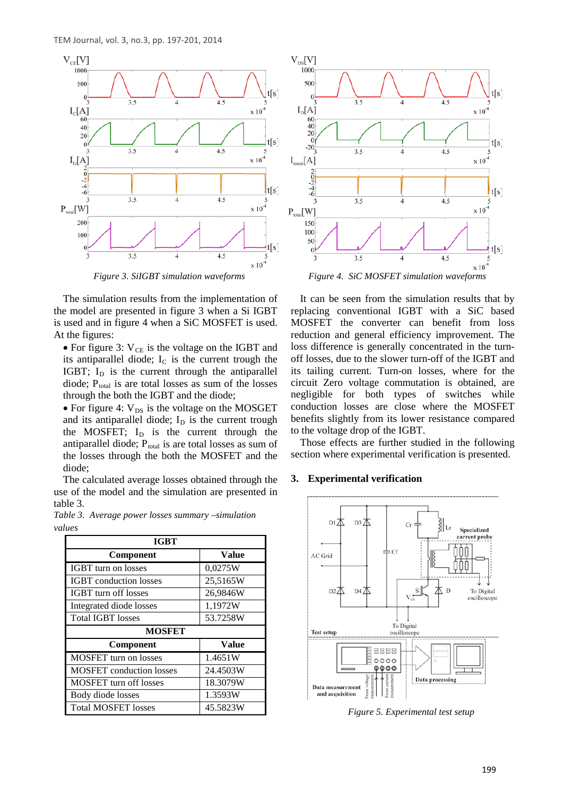

The simulation results from the implementation of the model are presented in figure 3 when a Si IGBT is used and in figure 4 when a SiC MOSFET is used. At the figures:

• For figure 3:  $V_{CE}$  is the voltage on the IGBT and its antiparallel diode;  $I_c$  is the current trough the IGBT;  $I_D$  is the current through the antiparallel diode;  $P_{total}$  is are total losses as sum of the losses through the both the IGBT and the diode;

• For figure 4:  $V_{DS}$  is the voltage on the MOSGET and its antiparallel diode;  $I<sub>D</sub>$  is the current trough the MOSFET;  $I<sub>D</sub>$  is the current through the antiparallel diode;  $P_{total}$  is are total losses as sum of the losses through the both the MOSFET and the diode;

The calculated average losses obtained through the use of the model and the simulation are presented in table 3.

*Table 3. Average power losses summary –simulation values*

| <b>IGBT</b>                     |              |  |
|---------------------------------|--------------|--|
| Component                       | <b>Value</b> |  |
| <b>IGBT</b> turn on losses      | 0,0275W      |  |
| <b>IGBT</b> conduction losses   | 25,5165W     |  |
| <b>IGBT</b> turn off losses     | 26,9846W     |  |
| Integrated diode losses         | 1,1972W      |  |
| <b>Total IGBT losses</b>        | 53.7258W     |  |
| <b>MOSFET</b>                   |              |  |
| Component                       | <b>Value</b> |  |
| <b>MOSFET</b> turn on losses    | 1.4651W      |  |
| <b>MOSFET</b> conduction losses | 24.4503W     |  |
| <b>MOSFET</b> turn off losses   | 18.3079W     |  |
| Body diode losses               | 1.3593W      |  |
| <b>Total MOSFET losses</b>      | 45.5823W     |  |



It can be seen from the simulation results that by replacing conventional IGBT with a SiC based MOSFET the converter can benefit from loss reduction and general efficiency improvement. The loss difference is generally concentrated in the turnoff losses, due to the slower turn-off of the IGBT and its tailing current. Turn-on losses, where for the circuit Zero voltage commutation is obtained, are negligible for both types of switches while conduction losses are close where the MOSFET benefits slightly from its lower resistance compared to the voltage drop of the IGBT.

Those effects are further studied in the following section where experimental verification is presented.

#### **3. Experimental verification**



*Figure 5. Experimental test setup*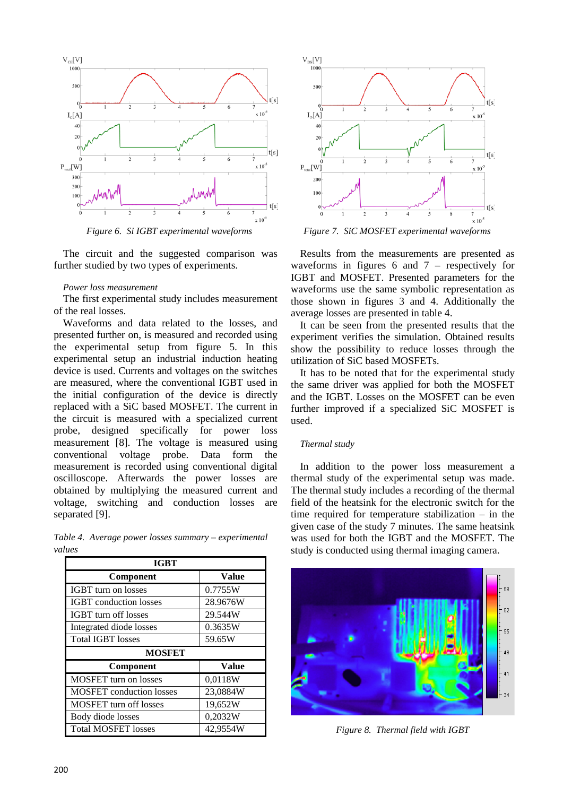

The circuit and the suggested comparison was further studied by two types of experiments.

#### *Power loss measurement*

The first experimental study includes measurement of the real losses.

Waveforms and data related to the losses, and presented further on, is measured and recorded using the experimental setup from figure 5. In this experimental setup an industrial induction heating device is used. Currents and voltages on the switches are measured, where the conventional IGBT used in the initial configuration of the device is directly replaced with a SiC based MOSFET. The current in the circuit is measured with a specialized current probe, designed specifically for power loss measurement [8]. The voltage is measured using conventional voltage probe. Data form the measurement is recorded using conventional digital oscilloscope. Afterwards the power losses are obtained by multiplying the measured current and voltage, switching and conduction losses are separated [9].

*Table 4. Average power losses summary – experimental values*

| <b>IGBT</b>                     |              |  |
|---------------------------------|--------------|--|
| Component                       | <b>Value</b> |  |
| <b>IGBT</b> turn on losses      | 0.7755W      |  |
| <b>IGBT</b> conduction losses   | 28.9676W     |  |
| <b>IGBT</b> turn off losses     | 29.544W      |  |
| Integrated diode losses         | 0.3635W      |  |
| <b>Total IGBT losses</b>        | 59.65W       |  |
| <b>MOSFET</b>                   |              |  |
| Component                       | <b>Value</b> |  |
| MOSFET turn on losses           | 0,0118W      |  |
| <b>MOSFET</b> conduction losses | 23,0884W     |  |
| <b>MOSFET</b> turn off losses   | 19,652W      |  |
| Body diode losses               | 0,2032W      |  |
| <b>Total MOSFET losses</b>      | 42,9554W     |  |



*Figure 6. Si IGBT experimental waveforms Figure 7. SiC MOSFET experimental waveforms*

Results from the measurements are presented as waveforms in figures 6 and 7 – respectively for IGBT and MOSFET. Presented parameters for the waveforms use the same symbolic representation as those shown in figures 3 and 4. Additionally the average losses are presented in table 4.

It can be seen from the presented results that the experiment verifies the simulation. Obtained results show the possibility to reduce losses through the utilization of SiC based MOSFETs.

It has to be noted that for the experimental study the same driver was applied for both the MOSFET and the IGBT. Losses on the MOSFET can be even further improved if a specialized SiC MOSFET is used.

## *Thermal study*

In addition to the power loss measurement a thermal study of the experimental setup was made. The thermal study includes a recording of the thermal field of the heatsink for the electronic switch for the time required for temperature stabilization  $-$  in the given case of the study 7 minutes. The same heatsink was used for both the IGBT and the MOSFET. The study is conducted using thermal imaging camera.



*Figure 8. Thermal field with IGBT*